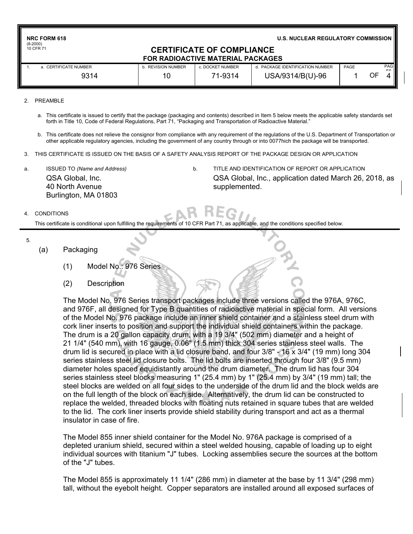| <b>NRC FORM 618</b><br>$(8-2000)$ | U.S. NUCLEAR REGULATORY COMMISSION                                           |                  |                                  |      |    |                              |  |  |
|-----------------------------------|------------------------------------------------------------------------------|------------------|----------------------------------|------|----|------------------------------|--|--|
| 10 CFR 71                         | <b>CERTIFICATE OF COMPLIANCE</b><br><b>FOR RADIOACTIVE MATERIAL PACKAGES</b> |                  |                                  |      |    |                              |  |  |
| a. CERTIFICATE NUMBER             | b. REVISION NUMBER                                                           | c. DOCKET NUMBER | d. PACKAGE IDENTIFICATION NUMBER | PAGE |    | <b>PAG</b><br>E <sub>C</sub> |  |  |
| 9314                              | 10                                                                           | 71-9314          | USA/9314/B(U)-96                 |      | OF |                              |  |  |
|                                   |                                                                              |                  |                                  |      |    |                              |  |  |

- 2. PREAMBLE
	- a. This certificate is issued to certify that the package (packaging and contents) described in Item 5 below meets the applicable safety standards set forth in Title 10, Code of Federal Regulations, Part 71, "Packaging and Transportation of Radioactive Material."
	- b. This certificate does not relieve the consignor from compliance with any requirement of the regulations of the U.S. Department of Transportation or other applicable regulatory agencies, including the government of any country through or into 0077hich the package will be transported.
- 3. THIS CERTIFICATE IS ISSUED ON THE BASIS OF A SAFETY ANALYSIS REPORT OF THE PACKAGE DESIGN OR APPLICATION
- QSA Global, Inc. 40 North Avenue Burlington, MA 01803
- a. ISSUED TO *(Name and Address)* b. TITLE AND IDENTIFICATION OF REPORT OR APPLICATION QSA Global, Inc., application dated March 26, 2018, as supplemented.

#### 4. CONDITIONS

This certificate is conditional upon fulfilling the requirements of 10 CFR Part 71, as applicable, and the conditions specified below.

- 5.
- (a) Packaging
	- (1) Model No.: 976 Series
	- (2) Description

The Model No. 976 Series transport packages include three versions called the 976A, 976C, and 976F, all designed for Type B quantities of radioactive material in special form. All versions of the Model No. 976 package include an inner shield container and a stainless steel drum with cork liner inserts to position and support the individual shield containers within the package. The drum is a 20 gallon capacity drum, with a 19 3/4" (502 mm) diameter and a height of 21 1/4" (540 mm), with 16 gauge, 0.06" (1.5 mm) thick 304 series stainless steel walls. The drum lid is secured in place with a lid closure band, and four 3/8" - 16 x 3/4" (19 mm) long 304 series stainless steel lid closure bolts. The lid bolts are inserted through four 3/8" (9.5 mm) diameter holes spaced equidistantly around the drum diameter. The drum lid has four 304 series stainless steel blocks measuring 1" (25.4 mm) by 1" (25.4 mm) by 3/4" (19 mm) tall; the steel blocks are welded on all four sides to the underside of the drum lid and the block welds are on the full length of the block on each side. Alternatively, the drum lid can be constructed to replace the welded, threaded blocks with floating nuts retained in square tubes that are welded to the lid. The cork liner inserts provide shield stability during transport and act as a thermal insulator in case of fire.

The Model 855 inner shield container for the Model No. 976A package is comprised of a depleted uranium shield, secured within a steel welded housing, capable of loading up to eight individual sources with titanium "J" tubes. Locking assemblies secure the sources at the bottom of the "J" tubes.

The Model 855 is approximately 11 1/4" (286 mm) in diameter at the base by 11 3/4" (298 mm) tall, without the eyebolt height. Copper separators are installed around all exposed surfaces of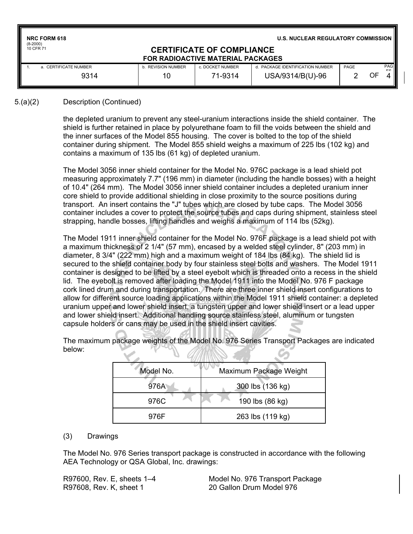| <b>NRC FORM 618</b><br>$(8-2000)$ |                           |                                                                              | <b>U.S. NUCLEAR REGULATORY COMMISSION  </b> |      |    |                   |
|-----------------------------------|---------------------------|------------------------------------------------------------------------------|---------------------------------------------|------|----|-------------------|
| 10 CFR 71                         |                           | <b>CERTIFICATE OF COMPLIANCE</b><br><b>FOR RADIOACTIVE MATERIAL PACKAGES</b> |                                             |      |    |                   |
| a. CERTIFICATE NUMBER             | <b>b. REVISION NUMBER</b> | c. DOCKET NUMBER                                                             | d. PACKAGE IDENTIFICATION NUMBER            | PAGE |    | <b>PAG</b><br>EC. |
| 9314                              | 10                        | 71-9314                                                                      | USA/9314/B(U)-96                            |      | OF |                   |

#### 5.(a)(2) Description (Continued)

the depleted uranium to prevent any steel-uranium interactions inside the shield container. The shield is further retained in place by polyurethane foam to fill the voids between the shield and the inner surfaces of the Model 855 housing. The cover is bolted to the top of the shield container during shipment. The Model 855 shield weighs a maximum of 225 lbs (102 kg) and contains a maximum of 135 lbs (61 kg) of depleted uranium.

The Model 3056 inner shield container for the Model No. 976C package is a lead shield pot measuring approximately 7.7" (196 mm) in diameter (including the handle bosses) with a height of 10.4" (264 mm). The Model 3056 inner shield container includes a depleted uranium inner core shield to provide additional shielding in close proximity to the source positions during transport. An insert contains the "J" tubes which are closed by tube caps. The Model 3056 container includes a cover to protect the source tubes and caps during shipment, stainless steel strapping, handle bosses, lifting handles and weighs a maximum of 114 lbs (52kg).

The Model 1911 inner shield container for the Model No. 976F package is a lead shield pot with a maximum thickness of 2 1/4" (57 mm), encased by a welded steel cylinder, 8" (203 mm) in diameter, 8 3/4" (222 mm) high and a maximum weight of 184 lbs (84 kg). The shield lid is secured to the shield container body by four stainless steel bolts and washers. The Model 1911 container is designed to be lifted by a steel eyebolt which is threaded onto a recess in the shield lid. The eyebolt is removed after loading the Model 1911 into the Model No. 976 F package cork lined drum and during transportation. There are three inner shield insert configurations to allow for different source loading applications within the Model 1911 shield container: a depleted uranium upper and lower shield insert, a tungsten upper and lower shield insert or a lead upper and lower shield insert. Additional handling source stainless steel, aluminum or tungsten capsule holders or cans may be used in the shield insert cavities.

The maximum package weights of the Model No. 976 Series Transport Packages are indicated below:

| Model No. | Maximum Package Weight |
|-----------|------------------------|
| 976A      | 300 lbs (136 kg)       |
| 976C      | 190 lbs (86 kg)        |
| 976F      | 263 lbs (119 kg)       |

#### (3) Drawings

The Model No. 976 Series transport package is constructed in accordance with the following AEA Technology or QSA Global, Inc. drawings:

R97608, Rev. K, sheet 1 20 Gallon Drum Model 976

R97600, Rev. E, sheets 1–4 Model No. 976 Transport Package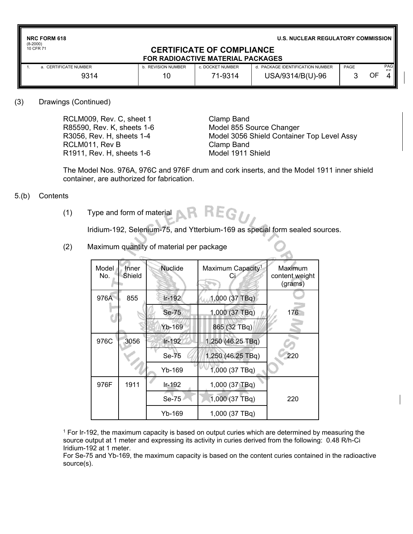**NRC FORM 618**

(8-2000) 10 CFR 71

**U.S. NUCLEAR REGULATORY COMMISSION**

#### **CERTIFICATE OF COMPLIANCE FOR RADIOACTIVE MATERIAL PACKAGES**

| <b>CERTIFICATE NUMBER</b> | <b>REVISION NUMBER</b> | c. DOCKET NUMBER | d. PACKAGE IDENTIFICATION NUMBER<br>USA/9314/B(U)-96 | PAGE |    | <b>PAG</b><br>EC. |  |  |
|---------------------------|------------------------|------------------|------------------------------------------------------|------|----|-------------------|--|--|
| 9314                      |                        | 71-9314          |                                                      |      | OF |                   |  |  |

### (3) Drawings (Continued)

RCLM009, Rev. C, sheet 1 Clamp Band R85590, Rev. K, sheets 1-6 Model 855 Source Changer RCLM011, Rev B Clamp Band R1911, Rev. H, sheets 1-6 Model 1911 Shield

R3056, Rev. H, sheets 1-4 Model 3056 Shield Container Top Level Assy

The Model Nos. 976A, 976C and 976F drum and cork inserts, and the Model 1911 inner shield container, are authorized for fabrication.

## 5.(b) Contents

REG77 (1) Type and form of material

Iridium-192, Selenium-75, and Ytterbium-169 as special form sealed sources.

- Nuclide | Maximum Capacity<sup>1</sup> Maximum Model Inner No. Shield content weight Ci (grams) 976A 855 Ir-192 1,000 (37 TBq) Se-75 1,000 (37 TBq) 176 ť Yb-169 | 865 (32 TBq) 976C 3056 Ir-192 1,250 (46.25 TBq) Se-75 4 1,250 (46.25 TBq) 220 Yb-169 | 1,000 (37 TBq) 976F | 1911 | Ir-192 | 1,000 (37 TBq) Se-75 1,000 (37 TBq) 220 Yb-169 | 1,000 (37 TBq)
- (2) Maximum quantity of material per package

 $1$  For Ir-192, the maximum capacity is based on output curies which are determined by measuring the source output at 1 meter and expressing its activity in curies derived from the following: 0.48 R/h-Ci Iridium-192 at 1 meter.

For Se-75 and Yb-169, the maximum capacity is based on the content curies contained in the radioactive source(s).